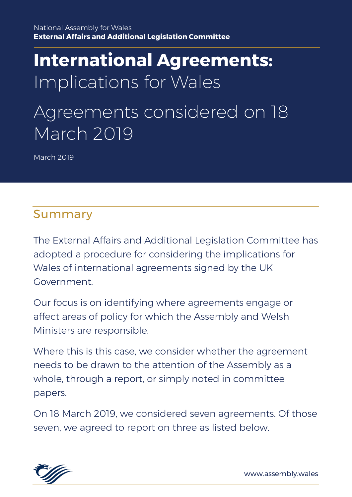# **International Agreements:** Implications for Wales

# Agreements considered on 18 March 2019

March 2019

# Summary

The External Affairs and Additional Legislation Committee has adopted a procedure for considering the implications for Wales of international agreements signed by the UK Government.

Our focus is on identifying where agreements engage or affect areas of policy for which the Assembly and Welsh Ministers are responsible.

Where this is this case, we consider whether the agreement needs to be drawn to the attention of the Assembly as a whole, through a report, or simply noted in committee papers.

On 18 March 2019, we considered seven agreements. Of those seven, we agreed to report on three as listed below.

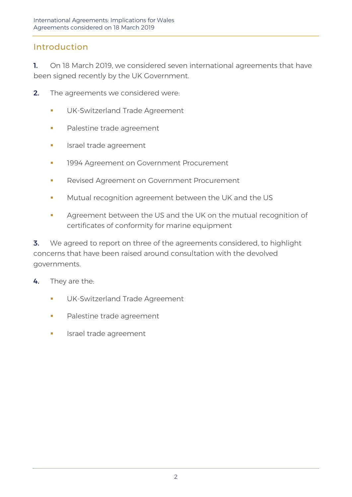# Introduction

1. On 18 March 2019, we considered seven international agreements that have been signed recently by the UK Government.

- 2. The agreements we considered were:
	- **UK-Switzerland Trade Agreement**
	- **•** Palestine trade agreement
	- **·** Israel trade agreement
	- **1994 Agreement on Government Procurement**
	- **Revised Agreement on Government Procurement**
	- **■** Mutual recognition agreement between the UK and the US
	- Agreement between the US and the UK on the mutual recognition of certificates of conformity for marine equipment

**3.** We agreed to report on three of the agreements considered, to highlight concerns that have been raised around consultation with the devolved governments.

4. They are the:

- **·** UK-Switzerland Trade Agreement
- **•** Palestine trade agreement
- Israel trade agreement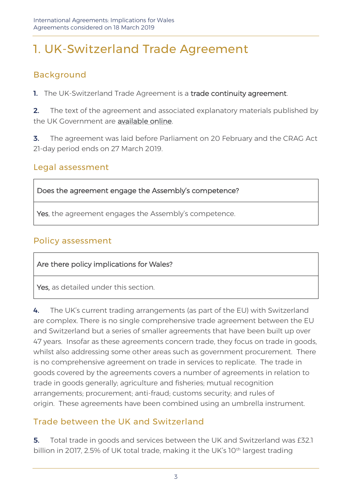# 1. UK-Switzerland Trade Agreement

# Background

1. The UK-Switzerland Trade Agreement is a trade continuity agreement.

**2.** The text of the agreement and associated explanatory materials published by the UK Government are [available online.](https://www.gov.uk/government/collections/uk-switzerland-trade-agreement) 

**3.** The agreement was laid before Parliament on 20 February and the CRAG Act 21-day period ends on 27 March 2019.

#### Legal assessment

Does the agreement engage the Assembly's competence?

Yes, the agreement engages the Assembly's competence.

### Policy assessment

Are there policy implications for Wales?

Yes, as detailed under this section.

4. The UK's current trading arrangements (as part of the EU) with Switzerland are complex. There is no single comprehensive trade agreement between the EU and Switzerland but a series of smaller agreements that have been built up over 47 years. Insofar as these agreements concern trade, they focus on trade in goods, whilst also addressing some other areas such as government procurement. There is no comprehensive agreement on trade in services to replicate. The trade in goods covered by the agreements covers a number of agreements in relation to trade in goods generally; agriculture and fisheries; mutual recognition arrangements; procurement; anti-fraud; customs security; and rules of origin. These agreements have been combined using an umbrella instrument.

# Trade between the UK and Switzerland

**5.** Total trade in goods and services between the UK and Switzerland was £32.1 billion in 2017, 2.5% of UK total trade, making it the UK's 10<sup>th</sup> largest trading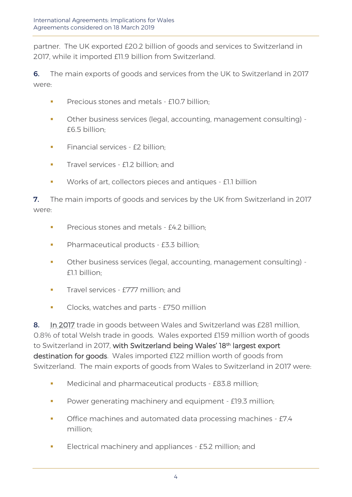partner. The UK exported £20.2 billion of goods and services to Switzerland in 2017, while it imported £11.9 billion from Switzerland.

6. The main exports of goods and services from the UK to Switzerland in 2017 were:

- **•** Precious stones and metals £10.7 billion;
- Other business services (legal, accounting, management consulting) £6.5 billion;
- **EXECUTE:** Financial services £2 billion:
- **Travel services £1.2 billion: and**
- Works of art, collectors pieces and antiques £1.1 billion

**7.** The main imports of goods and services by the UK from Switzerland in 2017 were:

- **•** Precious stones and metals £4.2 billion:
- **•** Pharmaceutical products £3.3 billion;
- Other business services (legal, accounting, management consulting) £1.1 billion;
- **Travel services £777 million; and**
- **•** Clocks, watches and parts £750 million

8. [In 2017](https://www.uktradeinfo.com/Statistics/BuildYourOwnTables/Pages/Table.aspx) trade in goods between Wales and Switzerland was £281 million, 0.8% of total Welsh trade in goods. Wales exported £159 million worth of goods to Switzerland in 2017, with Switzerland being Wales' 18<sup>th</sup> largest export destination for goods. Wales imported £122 million worth of goods from Switzerland. The main exports of goods from Wales to Switzerland in 2017 were:

- **■** Medicinal and pharmaceutical products £83.8 million;
- **•** Power generating machinery and equipment £19.3 million;
- **•** Office machines and automated data processing machines £7.4 million;
- **Electrical machinery and appliances £5.2 million; and**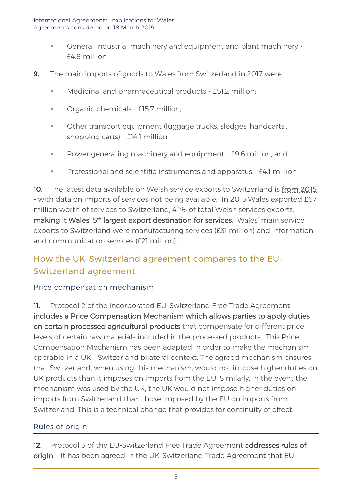- General industrial machinery and equipment and plant machinery £4.8 million
- 9. The main imports of goods to Wales from Switzerland in 2017 were:
	- **■** Medicinal and pharmaceutical products £51.2 million;
	- Organic chemicals £15.7 million;
	- **•** Other transport equipment (luggage trucks, sledges, handcarts., shopping carts) - £14.1 million;
	- Power generating machinery and equipment £9.6 million; and
	- Professional and scientific instruments and apparatus £4.1 million

10. The latest data available on Welsh service exports to Switzerland is [from 2015](https://www.ons.gov.uk/businessindustryandtrade/internationaltrade/datasets/serviceexportsbydestinationandindustrynuts1areasgreatbritain) – with data on imports of services not being available. In 2015 Wales exported £67 million worth of services to Switzerland, 4.1% of total Welsh services exports, making it Wales' 5<sup>th</sup> largest export destination for services. Wales' main service exports to Switzerland were manufacturing services (£31 million) and information and communication services (£21 million).

# How the UK-Switzerland agreement compares to the EU-Switzerland agreement

#### Price compensation mechanism

**11.** Protocol 2 of the Incorporated EU-Switzerland Free Trade Agreement includes a Price Compensation Mechanism which allows parties to apply duties on certain processed agricultural products that compensate for different price levels of certain raw materials included in the processed products. This Price Compensation Mechanism has been adapted in order to make the mechanism operable in a UK - Switzerland bilateral context. The agreed mechanism ensures that Switzerland, when using this mechanism, would not impose higher duties on UK products than it imposes on imports from the EU. Similarly, in the event the mechanism was used by the UK, the UK would not impose higher duties on imports from Switzerland than those imposed by the EU on imports from Switzerland. This is a technical change that provides for continuity of effect.

#### Rules of origin

12. Protocol 3 of the EU-Switzerland Free Trade Agreement addresses rules of origin. It has been agreed in the UK-Switzerland Trade Agreement that EU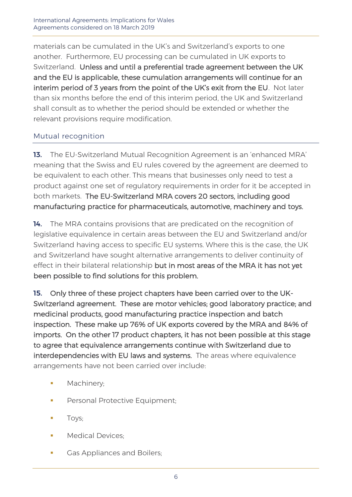materials can be cumulated in the UK's and Switzerland's exports to one another. Furthermore, EU processing can be cumulated in UK exports to Switzerland. Unless and until a preferential trade agreement between the UK and the EU is applicable, these cumulation arrangements will continue for an interim period of 3 years from the point of the UK's exit from the EU. Not later than six months before the end of this interim period, the UK and Switzerland shall consult as to whether the period should be extended or whether the relevant provisions require modification.

#### Mutual recognition

13. The EU-Switzerland Mutual Recognition Agreement is an 'enhanced MRA' meaning that the Swiss and EU rules covered by the agreement are deemed to be equivalent to each other. This means that businesses only need to test a product against one set of regulatory requirements in order for it be accepted in both markets. The EU-Switzerland MRA covers 20 sectors, including good manufacturing practice for pharmaceuticals, automotive, machinery and toys.

14. The MRA contains provisions that are predicated on the recognition of legislative equivalence in certain areas between the EU and Switzerland and/or Switzerland having access to specific EU systems. Where this is the case, the UK and Switzerland have sought alternative arrangements to deliver continuity of effect in their bilateral relationship but in most areas of the MRA it has not yet been possible to find solutions for this problem.

15. Only three of these project chapters have been carried over to the UK-Switzerland agreement. These are motor vehicles; good laboratory practice; and medicinal products, good manufacturing practice inspection and batch inspection. These make up 76% of UK exports covered by the MRA and 84% of imports. On the other 17 product chapters, it has not been possible at this stage to agree that equivalence arrangements continue with Switzerland due to interdependencies with EU laws and systems. The areas where equivalence arrangements have not been carried over include:

- **■** Machinery;
- Personal Protective Equipment;
- Toys;
- **■** Medical Devices:
- **Gas Appliances and Boilers;**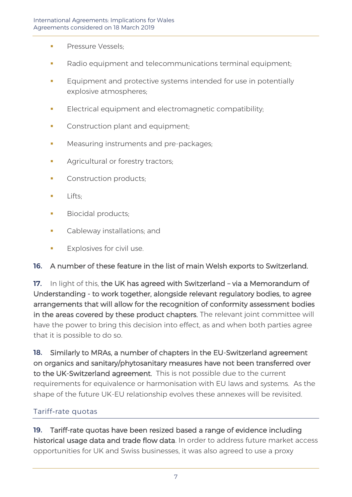- **Pressure Vessels:**
- Radio equipment and telecommunications terminal equipment;
- **Equipment and protective systems intended for use in potentially** explosive atmospheres;
- **Electrical equipment and electromagnetic compatibility:**
- **Construction plant and equipment;**
- **■** Measuring instruments and pre-packages;
- **EXECUTE Agricultural or forestry tractors;**
- Construction products;
- Lifts:
- **Biocidal products;**
- **•** Cableway installations; and
- Explosives for civil use.

#### 16. A number of these feature in the list of main Welsh exports to Switzerland.

17. In light of this, the UK has agreed with Switzerland - via a Memorandum of Understanding - to work together, alongside relevant regulatory bodies, to agree arrangements that will allow for the recognition of conformity assessment bodies in the areas covered by these product chapters. The relevant joint committee will have the power to bring this decision into effect, as and when both parties agree that it is possible to do so.

18. Similarly to MRAs, a number of chapters in the EU-Switzerland agreement on organics and sanitary/phytosanitary measures have not been transferred over to the UK-Switzerland agreement. This is not possible due to the current requirements for equivalence or harmonisation with EU laws and systems. As the shape of the future UK-EU relationship evolves these annexes will be revisited.

#### Tariff-rate quotas

19. Tariff-rate quotas have been resized based a range of evidence including historical usage data and trade flow data. In order to address future market access opportunities for UK and Swiss businesses, it was also agreed to use a proxy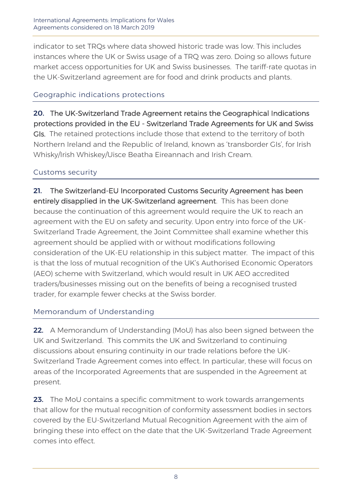indicator to set TRQs where data showed historic trade was low. This includes instances where the UK or Swiss usage of a TRQ was zero. Doing so allows future market access opportunities for UK and Swiss businesses. The tariff-rate quotas in the UK-Switzerland agreement are for food and drink products and plants.

#### Geographic indications protections

20. The UK-Switzerland Trade Agreement retains the Geographical Indications protections provided in the EU - Switzerland Trade Agreements for UK and Swiss GIs. The retained protections include those that extend to the territory of both Northern Ireland and the Republic of Ireland, known as 'transborder GIs', for Irish Whisky/Irish Whiskey/Uisce Beatha Eireannach and Irish Cream.

#### Customs security

21. The Switzerland-EU Incorporated Customs Security Agreement has been entirely disapplied in the UK-Switzerland agreement. This has been done because the continuation of this agreement would require the UK to reach an agreement with the EU on safety and security. Upon entry into force of the UK-Switzerland Trade Agreement, the Joint Committee shall examine whether this agreement should be applied with or without modifications following consideration of the UK-EU relationship in this subject matter. The impact of this is that the loss of mutual recognition of the UK's Authorised Economic Operators (AEO) scheme with Switzerland, which would result in UK AEO accredited traders/businesses missing out on the benefits of being a recognised trusted trader, for example fewer checks at the Swiss border.

#### Memorandum of Understanding

22. A Memorandum of Understanding (MoU) has also been signed between the UK and Switzerland. This commits the UK and Switzerland to continuing discussions about ensuring continuity in our trade relations before the UK-Switzerland Trade Agreement comes into effect. In particular, these will focus on areas of the Incorporated Agreements that are suspended in the Agreement at present.

23. The MoU contains a specific commitment to work towards arrangements that allow for the mutual recognition of conformity assessment bodies in sectors covered by the EU-Switzerland Mutual Recognition Agreement with the aim of bringing these into effect on the date that the UK-Switzerland Trade Agreement comes into effect.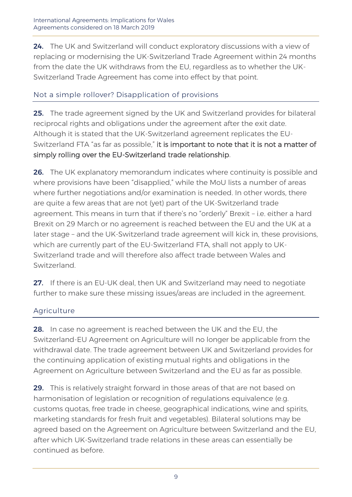24. The UK and Switzerland will conduct exploratory discussions with a view of replacing or modernising the UK-Switzerland Trade Agreement within 24 months from the date the UK withdraws from the EU, regardless as to whether the UK-Switzerland Trade Agreement has come into effect by that point.

#### Not a simple rollover? Disapplication of provisions

**25.** The trade agreement signed by the UK and Switzerland provides for bilateral reciprocal rights and obligations under the agreement after the exit date. Although it is stated that the UK-Switzerland agreement replicates the EU-Switzerland FTA "as far as possible," it is important to note that it is not a matter of simply rolling over the EU-Switzerland trade relationship.

26. The UK explanatory memorandum indicates where continuity is possible and where provisions have been "disapplied," while the MoU lists a number of areas where further negotiations and/or examination is needed. In other words, there are quite a few areas that are not (yet) part of the UK-Switzerland trade agreement. This means in turn that if there's no "orderly" Brexit – i.e. either a hard Brexit on 29 March or no agreement is reached between the EU and the UK at a later stage – and the UK-Switzerland trade agreement will kick in, these provisions, which are currently part of the EU-Switzerland FTA, shall not apply to UK-Switzerland trade and will therefore also affect trade between Wales and Switzerland.

27. If there is an EU-UK deal, then UK and Switzerland may need to negotiate further to make sure these missing issues/areas are included in the agreement.

#### Agriculture

**28.** In case no agreement is reached between the UK and the EU, the Switzerland-EU Agreement on Agriculture will no longer be applicable from the withdrawal date. The trade agreement between UK and Switzerland provides for the continuing application of existing mutual rights and obligations in the Agreement on Agriculture between Switzerland and the EU as far as possible.

29. This is relatively straight forward in those areas of that are not based on harmonisation of legislation or recognition of regulations equivalence (e.g. customs quotas, free trade in cheese, geographical indications, wine and spirits, marketing standards for fresh fruit and vegetables). Bilateral solutions may be agreed based on the Agreement on Agriculture between Switzerland and the EU, after which UK-Switzerland trade relations in these areas can essentially be continued as before.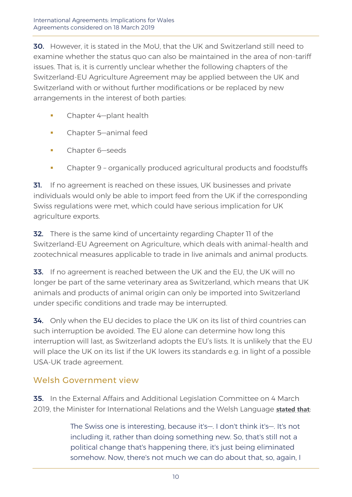**30.** However, it is stated in the MoU, that the UK and Switzerland still need to examine whether the status quo can also be maintained in the area of non-tariff issues. That is, it is currently unclear whether the following chapters of the Switzerland-EU Agriculture Agreement may be applied between the UK and Switzerland with or without further modifications or be replaced by new arrangements in the interest of both parties:

- Chapter 4-plant health
- **•** Chapter 5—animal feed
- **•** Chapter 6-seeds
- Chapter 9 organically produced agricultural products and foodstuffs

**31.** If no agreement is reached on these issues, UK businesses and private individuals would only be able to import feed from the UK if the corresponding Swiss regulations were met, which could have serious implication for UK agriculture exports.

**32.** There is the same kind of uncertainty regarding Chapter II of the Switzerland-EU Agreement on Agriculture, which deals with animal-health and zootechnical measures applicable to trade in live animals and animal products.

33. If no agreement is reached between the UK and the EU, the UK will no longer be part of the same veterinary area as Switzerland, which means that UK animals and products of animal origin can only be imported into Switzerland under specific conditions and trade may be interrupted.

**34.** Only when the EU decides to place the UK on its list of third countries can such interruption be avoided. The EU alone can determine how long this interruption will last, as Switzerland adopts the EU's lists. It is unlikely that the EU will place the UK on its list if the UK lowers its standards e.g. in light of a possible USA-UK trade agreement.

# Welsh Government view

**35.** In the External Affairs and Additional Legislation Committee on 4 March 2019, the Minister for International Relations and the Welsh Language **[stated that](http://record.assembly.wales/Committee/5278)**:

> The Swiss one is interesting, because it's—. I don't think it's—. It's not including it, rather than doing something new. So, that's still not a political change that's happening there, it's just being eliminated somehow. Now, there's not much we can do about that, so, again, I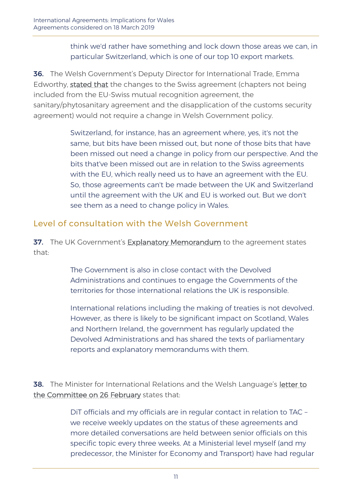#### think we'd rather have something and lock down those areas we can, in particular Switzerland, which is one of our top 10 export markets.

36. The Welsh Government's Deputy Director for International Trade, Emma Edworthy, [stated that](http://record.assembly.wales/Committee/5278) the changes to the Swiss agreement (chapters not being included from the EU-Swiss mutual recognition agreement, the sanitary/phytosanitary agreement and the disapplication of the customs security agreement) would not require a change in Welsh Government policy.

> Switzerland, for instance, has an agreement where, yes, it's not the same, but bits have been missed out, but none of those bits that have been missed out need a change in policy from our perspective. And the bits that've been missed out are in relation to the Swiss agreements with the EU, which really need us to have an agreement with the EU. So, those agreements can't be made between the UK and Switzerland until the agreement with the UK and EU is worked out. But we don't see them as a need to change policy in Wales.

# Level of consultation with the Welsh Government

37. The UK Government's [Explanatory Memorandum](https://assets.publishing.service.gov.uk/government/uploads/system/uploads/attachment_data/file/780102/EM_CS_Swiss_4.2019_FTA.odt) to the agreement states that:

> The Government is also in close contact with the Devolved Administrations and continues to engage the Governments of the territories for those international relations the UK is responsible.

International relations including the making of treaties is not devolved. However, as there is likely to be significant impact on Scotland, Wales and Northern Ireland, the government has regularly updated the Devolved Administrations and has shared the texts of parliamentary reports and explanatory memorandums with them.

38. The Minister for International Relations and the Welsh Language's [letter to](http://senedd.assembly.wales/documents/s85054/Correspondence%20from%20the%20Minister%20of%20International%20Relations%20and%20the%20Welsh%20Language%20to%20the%20Chair%20rega.pdf)  [the Committee on 26 February](http://senedd.assembly.wales/documents/s85054/Correspondence%20from%20the%20Minister%20of%20International%20Relations%20and%20the%20Welsh%20Language%20to%20the%20Chair%20rega.pdf) states that:

> DiT officials and my officials are in regular contact in relation to TAC – we receive weekly updates on the status of these agreements and more detailed conversations are held between senior officials on this specific topic every three weeks. At a Ministerial level myself (and my predecessor, the Minister for Economy and Transport) have had regular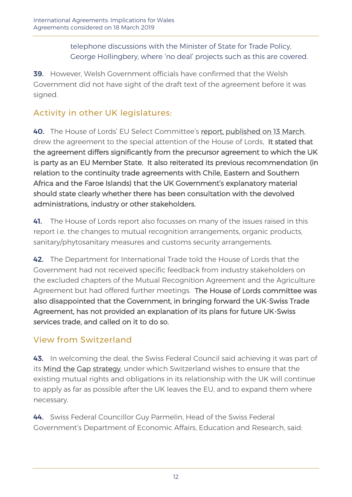telephone discussions with the Minister of State for Trade Policy, George Hollingbery, where 'no deal' projects such as this are covered.

39. However, Welsh Government officials have confirmed that the Welsh Government did not have sight of the draft text of the agreement before it was signed.

# Activity in other UK legislatures:

40. The House of Lords' EU Select Committee's [report, published on 13 March,](https://publications.parliament.uk/pa/ld201719/ldselect/ldeucom/315/31504.htm#_idTextAnchor001)  drew the agreement to the special attention of the House of Lords. It stated that the agreement differs significantly from the precursor agreement to which the UK is party as an EU Member State. It also reiterated its previous recommendation (in relation to the continuity trade agreements with Chile, Eastern and Southern Africa and the Faroe Islands) that the UK Government's explanatory material should state clearly whether there has been consultation with the devolved administrations, industry or other stakeholders.

41. The House of Lords report also focusses on many of the issues raised in this report i.e. the changes to mutual recognition arrangements, organic products, sanitary/phytosanitary measures and customs security arrangements.

42. The Department for International Trade told the House of Lords that the Government had not received specific feedback from industry stakeholders on the excluded chapters of the Mutual Recognition Agreement and the Agriculture Agreement but had offered further meetings. The House of Lords committee was also disappointed that the Government, in bringing forward the UK-Swiss Trade Agreement, has not provided an explanation of its plans for future UK-Swiss services trade, and called on it to do so.

# View from Switzerland

43. In welcoming the deal, the Swiss Federal Council said achieving it was part of its [Mind the Gap strategy,](https://www.eda.admin.ch/missions/mission-eu-brussels/en/home/key-issues/brexit.html) under which Switzerland wishes to ensure that the existing mutual rights and obligations in its relationship with the UK will continue to apply as far as possible after the UK leaves the EU, and to expand them where necessary.

44. Swiss Federal Councillor Guy Parmelin, Head of the Swiss Federal Government's Department of Economic Affairs, Education and Research, said: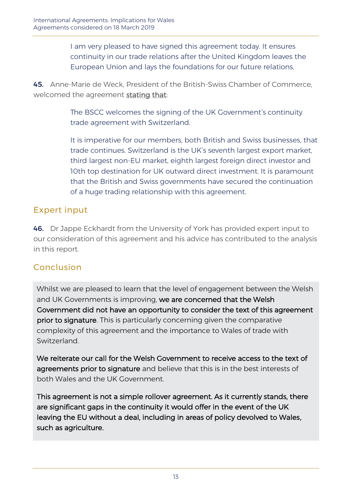I am very pleased to have signed this agreement today. It ensures continuity in our trade relations after the United Kingdom leaves the European Union and lays the foundations for our future relations.

45. Anne-Marie de Weck, President of the British-Swiss Chamber of Commerce, welcomed the agreement [stating that:](http://www.bscc.co.uk/index.php?option=com_content&view=article&id=2085&Itemid=551)

> The BSCC welcomes the signing of the UK Government's continuity trade agreement with Switzerland.

It is imperative for our members, both British and Swiss businesses, that trade continues. Switzerland is the UK's seventh largest export market, third largest non-EU market, eighth largest foreign direct investor and 10th top destination for UK outward direct investment. It is paramount that the British and Swiss governments have secured the continuation of a huge trading relationship with this agreement.

### Expert input

46. Dr Jappe Eckhardt from the University of York has provided expert input to our consideration of this agreement and his advice has contributed to the analysis in this report.

# Conclusion

Whilst we are pleased to learn that the level of engagement between the Welsh and UK Governments is improving, we are concerned that the Welsh Government did not have an opportunity to consider the text of this agreement prior to signature. This is particularly concerning given the comparative complexity of this agreement and the importance to Wales of trade with **Switzerland** 

We reiterate our call for the Welsh Government to receive access to the text of agreements prior to signature and believe that this is in the best interests of both Wales and the UK Government.

This agreement is not a simple rollover agreement. As it currently stands, there are significant gaps in the continuity it would offer in the event of the UK leaving the EU without a deal, including in areas of policy devolved to Wales, such as agriculture.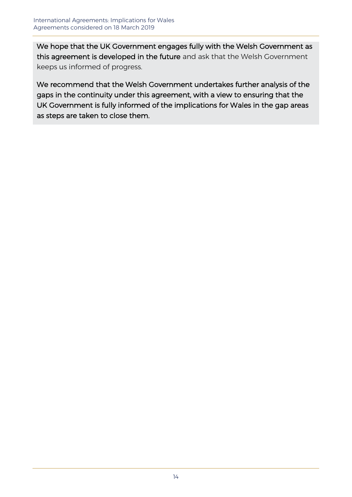We hope that the UK Government engages fully with the Welsh Government as this agreement is developed in the future and ask that the Welsh Government keeps us informed of progress.

We recommend that the Welsh Government undertakes further analysis of the gaps in the continuity under this agreement, with a view to ensuring that the UK Government is fully informed of the implications for Wales in the gap areas as steps are taken to close them.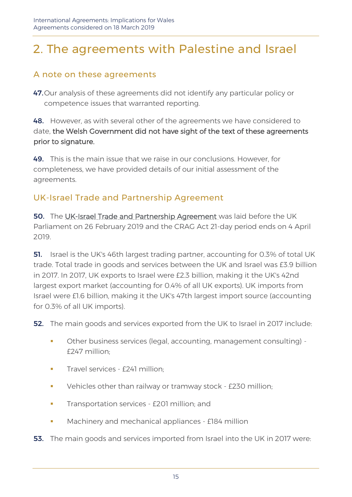# 2. The agreements with Palestine and Israel

# A note on these agreements

47. Our analysis of these agreements did not identify any particular policy or competence issues that warranted reporting.

#### **48.** However, as with several other of the agreements we have considered to date, the Welsh Government did not have sight of the text of these agreements prior to signature.

49. This is the main issue that we raise in our conclusions. However, for completeness, we have provided details of our initial assessment of the agreements.

# UK-Israel Trade and Partnership Agreement

50. The [UK-Israel Trade and Partnership Agreement w](https://www.gov.uk/government/collections/uk-israel-trade-and-partnership-agreement)as laid before the UK Parliament on 26 February 2019 and the CRAG Act 21-day period ends on 4 April 2019.

**51.** Israel is the UK's 46th largest trading partner, accounting for 0.3% of total UK trade. Total trade in goods and services between the UK and Israel was £3.9 billion in 2017. In 2017, UK exports to Israel were £2.3 billion, making it the UK's 42nd largest export market (accounting for 0.4% of all UK exports). UK imports from Israel were £1.6 billion, making it the UK's 47th largest import source (accounting for 0.3% of all UK imports).

**52.** The main goods and services exported from the UK to Israel in 2017 include:

- Other business services (legal, accounting, management consulting) -£247 million;
- **Travel services £241 million:**
- **•** Vehicles other than railway or tramway stock £230 million;
- **•** Transportation services £201 million; and
- Machinery and mechanical appliances £184 million
- **53.** The main goods and services imported from Israel into the UK in 2017 were: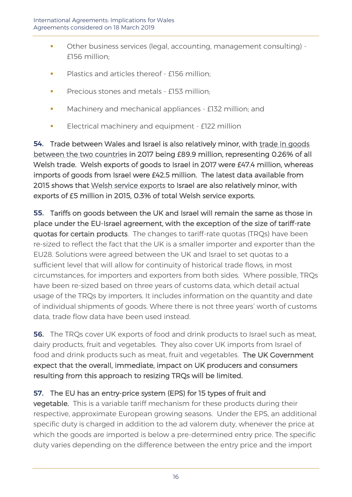- Other business services (legal, accounting, management consulting) £156 million;
- **•** Plastics and articles thereof £156 million;
- **•** Precious stones and metals £153 million:
- **■** Machinery and mechanical appliances £132 million; and
- **Electrical machinery and equipment £122 million**

54. Trade between Wales and Israel is also relatively minor, with trade in goods [between the two countries](https://www.uktradeinfo.com/Statistics/BuildYourOwnTables/Pages/Table.aspx) in 2017 being £89.9 million, representing 0.26% of all Welsh trade. Welsh exports of goods to Israel in 2017 were £47.4 million, whereas imports of goods from Israel were £42.5 million. The latest data available from 2015 shows that [Welsh service exports](https://www.ons.gov.uk/businessindustryandtrade/internationaltrade/datasets/serviceexportsbydestinationandindustrynuts1areasgreatbritain) to Israel are also relatively minor, with exports of £5 million in 2015, 0.3% of total Welsh service exports.

55. Tariffs on goods between the UK and Israel will remain the same as those in place under the EU-Israel agreement, with the exception of the size of tariff-rate quotas for certain products. The changes to tariff-rate quotas (TRQs) have been re-sized to reflect the fact that the UK is a smaller importer and exporter than the EU28. Solutions were agreed between the UK and Israel to set quotas to a sufficient level that will allow for continuity of historical trade flows, in most circumstances, for importers and exporters from both sides. Where possible, TRQs have been re-sized based on three years of customs data, which detail actual usage of the TRQs by importers. It includes information on the quantity and date of individual shipments of goods. Where there is not three years' worth of customs data, trade flow data have been used instead.

**56.** The TRQs cover UK exports of food and drink products to Israel such as meat, dairy products, fruit and vegetables. They also cover UK imports from Israel of food and drink products such as meat, fruit and vegetables. The UK Government expect that the overall, immediate, impact on UK producers and consumers resulting from this approach to resizing TRQs will be limited.

#### 57. The EU has an entry-price system (EPS) for 15 types of fruit and

vegetable. This is a variable tariff mechanism for these products during their respective, approximate European growing seasons. Under the EPS, an additional specific duty is charged in addition to the ad valorem duty, whenever the price at which the goods are imported is below a pre-determined entry price. The specific duty varies depending on the difference between the entry price and the import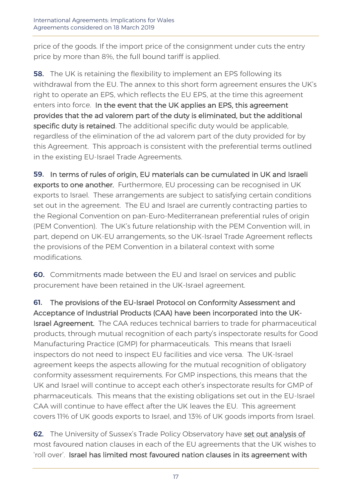price of the goods. If the import price of the consignment under cuts the entry price by more than 8%, the full bound tariff is applied.

**58.** The UK is retaining the flexibility to implement an EPS following its withdrawal from the EU. The annex to this short form agreement ensures the UK's right to operate an EPS, which reflects the EU EPS, at the time this agreement enters into force. In the event that the UK applies an EPS, this agreement provides that the ad valorem part of the duty is eliminated, but the additional specific duty is retained. The additional specific duty would be applicable, regardless of the elimination of the ad valorem part of the duty provided for by this Agreement. This approach is consistent with the preferential terms outlined in the existing EU-Israel Trade Agreements.

59. In terms of rules of origin, EU materials can be cumulated in UK and Israeli exports to one another. Furthermore, EU processing can be recognised in UK exports to Israel. These arrangements are subject to satisfying certain conditions set out in the agreement. The EU and Israel are currently contracting parties to the Regional Convention on pan-Euro-Mediterranean preferential rules of origin (PEM Convention). The UK's future relationship with the PEM Convention will, in part, depend on UK-EU arrangements, so the UK-Israel Trade Agreement reflects the provisions of the PEM Convention in a bilateral context with some modifications.

60. Commitments made between the EU and Israel on services and public procurement have been retained in the UK-Israel agreement.

61. The provisions of the EU-Israel Protocol on Conformity Assessment and Acceptance of Industrial Products (CAA) have been incorporated into the UK-Israel Agreement. The CAA reduces technical barriers to trade for pharmaceutical products, through mutual recognition of each party's inspectorate results for Good Manufacturing Practice (GMP) for pharmaceuticals. This means that Israeli inspectors do not need to inspect EU facilities and vice versa. The UK-Israel agreement keeps the aspects allowing for the mutual recognition of obligatory conformity assessment requirements. For GMP inspections, this means that the UK and Israel will continue to accept each other's inspectorate results for GMP of pharmaceuticals. This means that the existing obligations set out in the EU-Israel CAA will continue to have effect after the UK leaves the EU. This agreement covers 11% of UK goods exports to Israel, and 13% of UK goods imports from Israel.

62. The University of Sussex's Trade Policy Observatory have [set out analysis of](http://blogs.sussex.ac.uk/uktpo/files/2018/11/Briefing-paper-25-interactive1.pdf) most favoured nation clauses in each of the EU agreements that the UK wishes to 'roll over'. Israel has limited most favoured nation clauses in its agreement with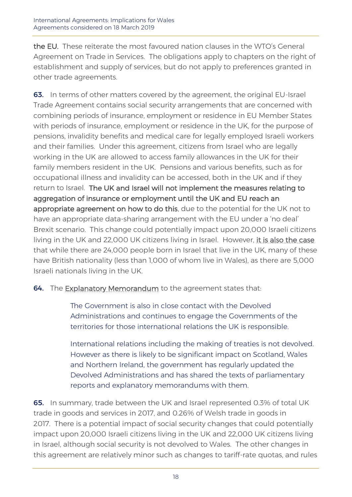the EU. These reiterate the most favoured nation clauses in the WTO's General Agreement on Trade in Services. The obligations apply to chapters on the right of establishment and supply of services, but do not apply to preferences granted in other trade agreements.

63. In terms of other matters covered by the agreement, the original EU-Israel Trade Agreement contains social security arrangements that are concerned with combining periods of insurance, employment or residence in EU Member States with periods of insurance, employment or residence in the UK, for the purpose of pensions, invalidity benefits and medical care for legally employed Israeli workers and their families. Under this agreement, citizens from Israel who are legally working in the UK are allowed to access family allowances in the UK for their family members resident in the UK. Pensions and various benefits, such as for occupational illness and invalidity can be accessed, both in the UK and if they return to Israel. The UK and Israel will not implement the measures relating to aggregation of insurance or employment until the UK and EU reach an appropriate agreement on how to do this, due to the potential for the UK not to have an appropriate data-sharing arrangement with the EU under a 'no deal' Brexit scenario. This change could potentially impact upon 20,000 Israeli citizens living in the UK and 22,000 UK citizens living in Israel. However, [it is also the case](https://www.ons.gov.uk/peoplepopulationandcommunity/populationandmigration/internationalmigration/datasets/populationoftheunitedkingdombycountryofbirthandnationalityunderlyingdatasheets) that while there are 24,000 people born in Israel that live in the UK, many of these have British nationality (less than 1,000 of whom live in Wales), as there are 5,000 Israeli nationals living in the UK.

64. The [Explanatory Memorandum](https://assets.publishing.service.gov.uk/government/uploads/system/uploads/attachment_data/file/781559/EM_CS_Israel_1.2019.odt) to the agreement states that:

The Government is also in close contact with the Devolved Administrations and continues to engage the Governments of the territories for those international relations the UK is responsible.

International relations including the making of treaties is not devolved. However as there is likely to be significant impact on Scotland, Wales and Northern Ireland, the government has regularly updated the Devolved Administrations and has shared the texts of parliamentary reports and explanatory memorandums with them.

65. In summary, trade between the UK and Israel represented 0.3% of total UK trade in goods and services in 2017, and 0.26% of Welsh trade in goods in 2017. There is a potential impact of social security changes that could potentially impact upon 20,000 Israeli citizens living in the UK and 22,000 UK citizens living in Israel, although social security is not devolved to Wales. The other changes in this agreement are relatively minor such as changes to tariff-rate quotas, and rules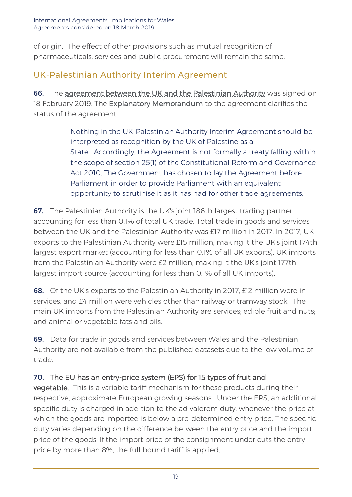of origin. The effect of other provisions such as mutual recognition of pharmaceuticals, services and public procurement will remain the same.

# UK-Palestinian Authority Interim Agreement

66. The [agreement between the UK and the Palestinian Authority](https://www.gov.uk/government/collections/uk-palestinian-authority-political-trade-and-partnership-agreement) was signed on 18 February 2019. The **Explanatory Memorandum** to the agreement clarifies the status of the agreement:

> Nothing in the UK-Palestinian Authority Interim Agreement should be interpreted as recognition by the UK of Palestine as a State. Accordingly, the Agreement is not formally a treaty falling within the scope of section 25(1) of the Constitutional Reform and Governance Act 2010. The Government has chosen to lay the Agreement before Parliament in order to provide Parliament with an equivalent opportunity to scrutinise it as it has had for other trade agreements.

**67.** The Palestinian Authority is the UK's joint 186th largest trading partner, accounting for less than 0.1% of total UK trade. Total trade in goods and services between the UK and the Palestinian Authority was £17 million in 2017. In 2017, UK exports to the Palestinian Authority were £15 million, making it the UK's joint 174th largest export market (accounting for less than 0.1% of all UK exports). UK imports from the Palestinian Authority were £2 million, making it the UK's joint 177th largest import source (accounting for less than 0.1% of all UK imports).

68. Of the UK's exports to the Palestinian Authority in 2017, £12 million were in services, and £4 million were vehicles other than railway or tramway stock. The main UK imports from the Palestinian Authority are services; edible fruit and nuts; and animal or vegetable fats and oils.

69. Data for trade in goods and services between Wales and the Palestinian Authority are not available from the published datasets due to the low volume of trade.

# 70. The EU has an entry-price system (EPS) for 15 types of fruit and

vegetable. This is a variable tariff mechanism for these products during their respective, approximate European growing seasons. Under the EPS, an additional specific duty is charged in addition to the ad valorem duty, whenever the price at which the goods are imported is below a pre-determined entry price. The specific duty varies depending on the difference between the entry price and the import price of the goods. If the import price of the consignment under cuts the entry price by more than 8%, the full bound tariff is applied.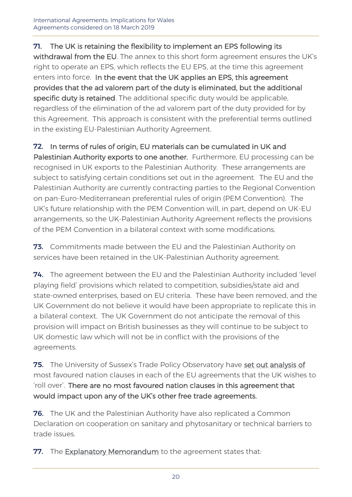#### 71. The UK is retaining the flexibility to implement an EPS following its

withdrawal from the EU. The annex to this short form agreement ensures the UK's right to operate an EPS, which reflects the EU EPS, at the time this agreement enters into force. In the event that the UK applies an EPS, this agreement provides that the ad valorem part of the duty is eliminated, but the additional specific duty is retained. The additional specific duty would be applicable, regardless of the elimination of the ad valorem part of the duty provided for by this Agreement. This approach is consistent with the preferential terms outlined in the existing EU-Palestinian Authority Agreement.

#### 72. In terms of rules of origin, EU materials can be cumulated in UK and

Palestinian Authority exports to one another. Furthermore, EU processing can be recognised in UK exports to the Palestinian Authority. These arrangements are subject to satisfying certain conditions set out in the agreement. The EU and the Palestinian Authority are currently contracting parties to the Regional Convention on pan-Euro-Mediterranean preferential rules of origin (PEM Convention). The UK's future relationship with the PEM Convention will, in part, depend on UK-EU arrangements, so the UK-Palestinian Authority Agreement reflects the provisions of the PEM Convention in a bilateral context with some modifications.

**73.** Commitments made between the EU and the Palestinian Authority on services have been retained in the UK-Palestinian Authority agreement.

74. The agreement between the EU and the Palestinian Authority included 'level playing field' provisions which related to competition, subsidies/state aid and state-owned enterprises, based on EU criteria. These have been removed, and the UK Government do not believe it would have been appropriate to replicate this in a bilateral context. The UK Government do not anticipate the removal of this provision will impact on British businesses as they will continue to be subject to UK domestic law which will not be in conflict with the provisions of the agreements.

75. The University of Sussex's Trade Policy Observatory have [set out analysis of](http://blogs.sussex.ac.uk/uktpo/files/2018/11/Briefing-paper-25-interactive1.pdf) most favoured nation clauses in each of the EU agreements that the UK wishes to 'roll over'. There are no most favoured nation clauses in this agreement that would impact upon any of the UK's other free trade agreements.

**76.** The UK and the Palestinian Authority have also replicated a Common Declaration on cooperation on sanitary and phytosanitary or technical barriers to trade issues.

77. The [Explanatory Memorandum](https://assets.publishing.service.gov.uk/government/uploads/system/uploads/attachment_data/file/781563/EM_MS_14.2019_PLO.odt) to the agreement states that: